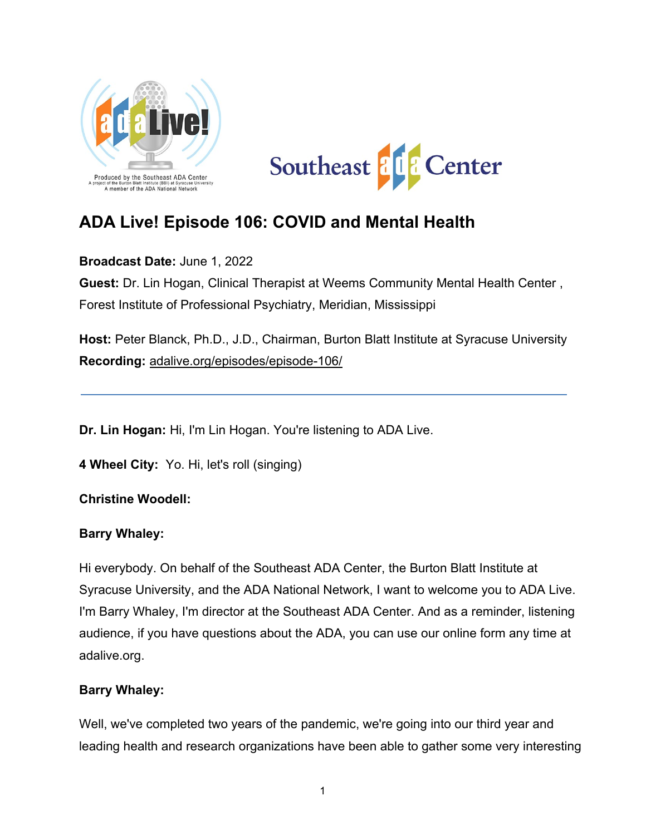



# **ADA Live! Episode 106: COVID and Mental Health**

**Broadcast Date:** June 1, 2022

**Guest:** Dr. Lin Hogan, Clinical Therapist at Weems Community Mental Health Center , Forest Institute of Professional Psychiatry, Meridian, Mississippi

**Host:** Peter Blanck, Ph.D., J.D., Chairman, Burton Blatt Institute at Syracuse University **Recording:** [adalive.org/episodes/episode-106/](https://adalive.org/episodes/episode-106/)

**Dr. Lin Hogan:** Hi, I'm Lin Hogan. You're listening to ADA Live.

**4 Wheel City:** Yo. Hi, let's roll (singing)

**Christine Woodell:**

#### **Barry Whaley:**

Hi everybody. On behalf of the Southeast ADA Center, the Burton Blatt Institute at Syracuse University, and the ADA National Network, I want to welcome you to ADA Live. I'm Barry Whaley, I'm director at the Southeast ADA Center. And as a reminder, listening audience, if you have questions about the ADA, you can use our online form any time at adalive.org.

#### **Barry Whaley:**

Well, we've completed two years of the pandemic, we're going into our third year and leading health and research organizations have been able to gather some very interesting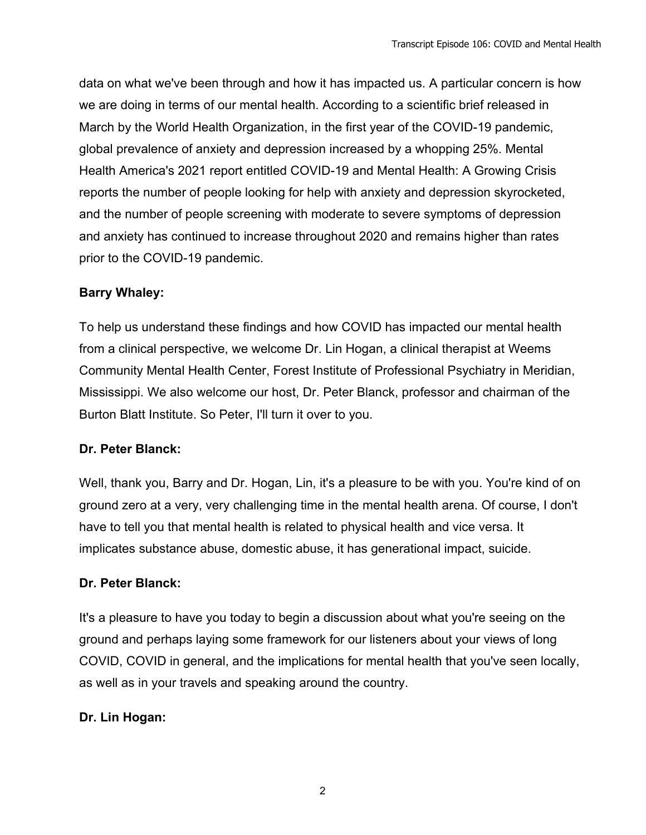data on what we've been through and how it has impacted us. A particular concern is how we are doing in terms of our mental health. According to a scientific brief released in March by the World Health Organization, in the first year of the COVID-19 pandemic, global prevalence of anxiety and depression increased by a whopping 25%. Mental Health America's 2021 report entitled COVID-19 and Mental Health: A Growing Crisis reports the number of people looking for help with anxiety and depression skyrocketed, and the number of people screening with moderate to severe symptoms of depression and anxiety has continued to increase throughout 2020 and remains higher than rates prior to the COVID-19 pandemic.

# **Barry Whaley:**

To help us understand these findings and how COVID has impacted our mental health from a clinical perspective, we welcome Dr. Lin Hogan, a clinical therapist at Weems Community Mental Health Center, Forest Institute of Professional Psychiatry in Meridian, Mississippi. We also welcome our host, Dr. Peter Blanck, professor and chairman of the Burton Blatt Institute. So Peter, I'll turn it over to you.

# **Dr. Peter Blanck:**

Well, thank you, Barry and Dr. Hogan, Lin, it's a pleasure to be with you. You're kind of on ground zero at a very, very challenging time in the mental health arena. Of course, I don't have to tell you that mental health is related to physical health and vice versa. It implicates substance abuse, domestic abuse, it has generational impact, suicide.

# **Dr. Peter Blanck:**

It's a pleasure to have you today to begin a discussion about what you're seeing on the ground and perhaps laying some framework for our listeners about your views of long COVID, COVID in general, and the implications for mental health that you've seen locally, as well as in your travels and speaking around the country.

#### **Dr. Lin Hogan:**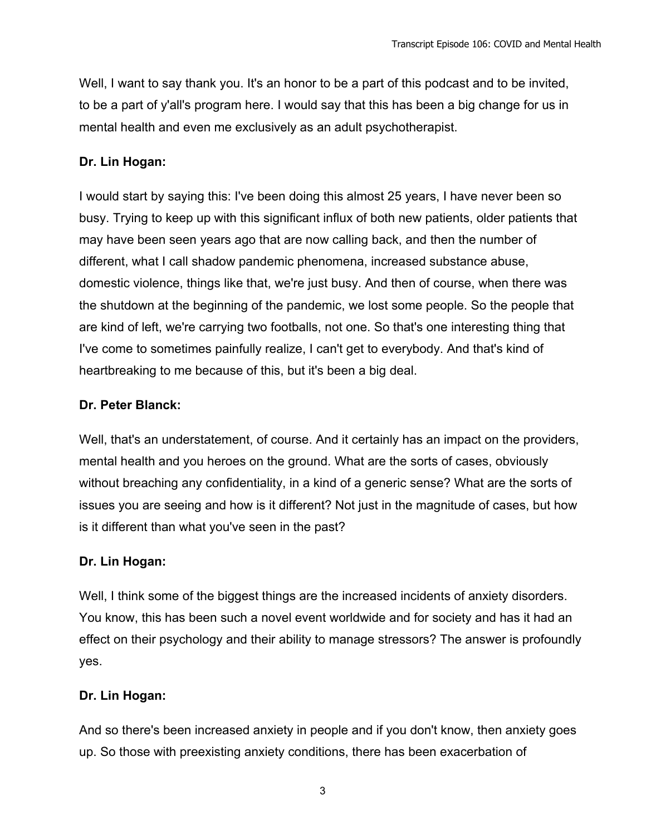Well, I want to say thank you. It's an honor to be a part of this podcast and to be invited, to be a part of y'all's program here. I would say that this has been a big change for us in mental health and even me exclusively as an adult psychotherapist.

#### **Dr. Lin Hogan:**

I would start by saying this: I've been doing this almost 25 years, I have never been so busy. Trying to keep up with this significant influx of both new patients, older patients that may have been seen years ago that are now calling back, and then the number of different, what I call shadow pandemic phenomena, increased substance abuse, domestic violence, things like that, we're just busy. And then of course, when there was the shutdown at the beginning of the pandemic, we lost some people. So the people that are kind of left, we're carrying two footballs, not one. So that's one interesting thing that I've come to sometimes painfully realize, I can't get to everybody. And that's kind of heartbreaking to me because of this, but it's been a big deal.

#### **Dr. Peter Blanck:**

Well, that's an understatement, of course. And it certainly has an impact on the providers, mental health and you heroes on the ground. What are the sorts of cases, obviously without breaching any confidentiality, in a kind of a generic sense? What are the sorts of issues you are seeing and how is it different? Not just in the magnitude of cases, but how is it different than what you've seen in the past?

#### **Dr. Lin Hogan:**

Well, I think some of the biggest things are the increased incidents of anxiety disorders. You know, this has been such a novel event worldwide and for society and has it had an effect on their psychology and their ability to manage stressors? The answer is profoundly yes.

#### **Dr. Lin Hogan:**

And so there's been increased anxiety in people and if you don't know, then anxiety goes up. So those with preexisting anxiety conditions, there has been exacerbation of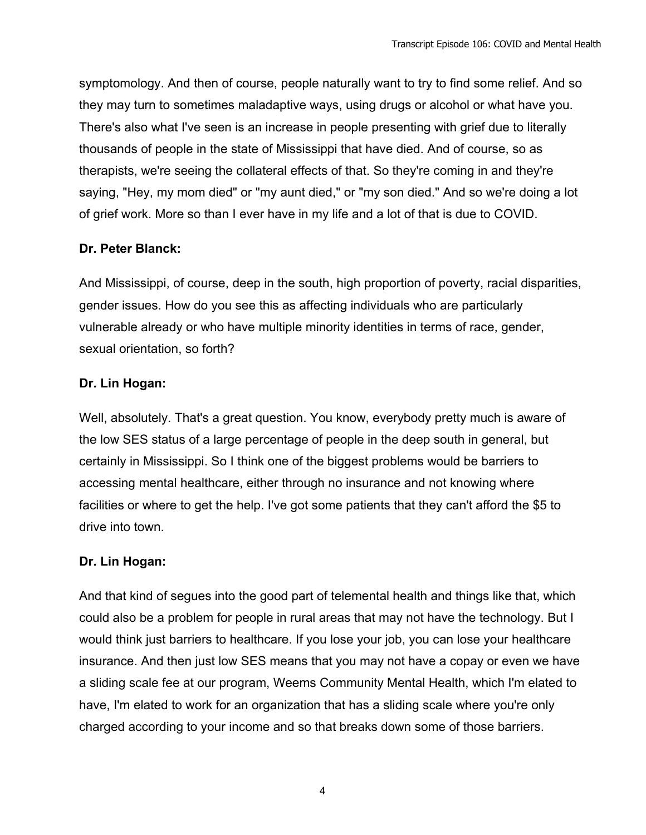symptomology. And then of course, people naturally want to try to find some relief. And so they may turn to sometimes maladaptive ways, using drugs or alcohol or what have you. There's also what I've seen is an increase in people presenting with grief due to literally thousands of people in the state of Mississippi that have died. And of course, so as therapists, we're seeing the collateral effects of that. So they're coming in and they're saying, "Hey, my mom died" or "my aunt died," or "my son died." And so we're doing a lot of grief work. More so than I ever have in my life and a lot of that is due to COVID.

# **Dr. Peter Blanck:**

And Mississippi, of course, deep in the south, high proportion of poverty, racial disparities, gender issues. How do you see this as affecting individuals who are particularly vulnerable already or who have multiple minority identities in terms of race, gender, sexual orientation, so forth?

# **Dr. Lin Hogan:**

Well, absolutely. That's a great question. You know, everybody pretty much is aware of the low SES status of a large percentage of people in the deep south in general, but certainly in Mississippi. So I think one of the biggest problems would be barriers to accessing mental healthcare, either through no insurance and not knowing where facilities or where to get the help. I've got some patients that they can't afford the \$5 to drive into town.

# **Dr. Lin Hogan:**

And that kind of segues into the good part of telemental health and things like that, which could also be a problem for people in rural areas that may not have the technology. But I would think just barriers to healthcare. If you lose your job, you can lose your healthcare insurance. And then just low SES means that you may not have a copay or even we have a sliding scale fee at our program, Weems Community Mental Health, which I'm elated to have, I'm elated to work for an organization that has a sliding scale where you're only charged according to your income and so that breaks down some of those barriers.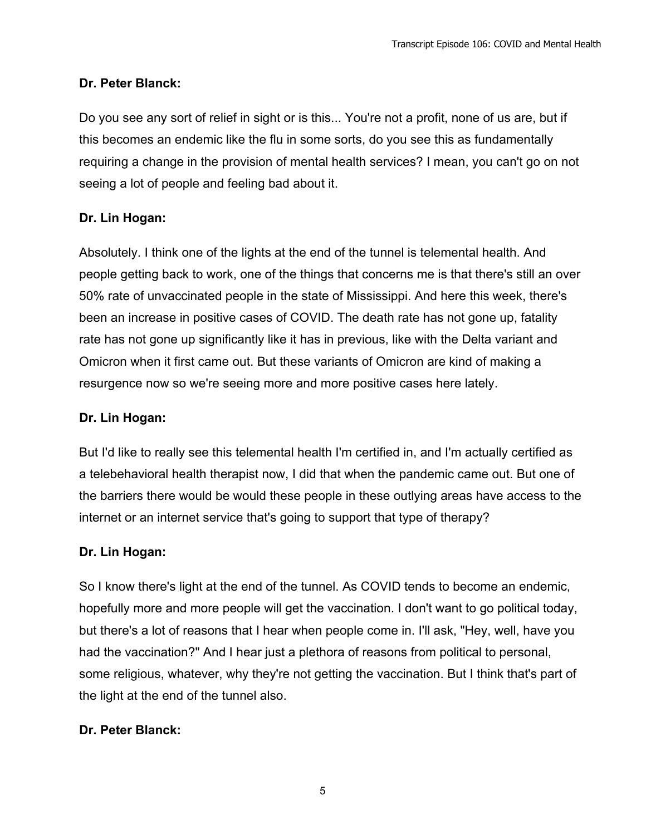# **Dr. Peter Blanck:**

Do you see any sort of relief in sight or is this... You're not a profit, none of us are, but if this becomes an endemic like the flu in some sorts, do you see this as fundamentally requiring a change in the provision of mental health services? I mean, you can't go on not seeing a lot of people and feeling bad about it.

# **Dr. Lin Hogan:**

Absolutely. I think one of the lights at the end of the tunnel is telemental health. And people getting back to work, one of the things that concerns me is that there's still an over 50% rate of unvaccinated people in the state of Mississippi. And here this week, there's been an increase in positive cases of COVID. The death rate has not gone up, fatality rate has not gone up significantly like it has in previous, like with the Delta variant and Omicron when it first came out. But these variants of Omicron are kind of making a resurgence now so we're seeing more and more positive cases here lately.

# **Dr. Lin Hogan:**

But I'd like to really see this telemental health I'm certified in, and I'm actually certified as a telebehavioral health therapist now, I did that when the pandemic came out. But one of the barriers there would be would these people in these outlying areas have access to the internet or an internet service that's going to support that type of therapy?

# **Dr. Lin Hogan:**

So I know there's light at the end of the tunnel. As COVID tends to become an endemic, hopefully more and more people will get the vaccination. I don't want to go political today, but there's a lot of reasons that I hear when people come in. I'll ask, "Hey, well, have you had the vaccination?" And I hear just a plethora of reasons from political to personal, some religious, whatever, why they're not getting the vaccination. But I think that's part of the light at the end of the tunnel also.

# **Dr. Peter Blanck:**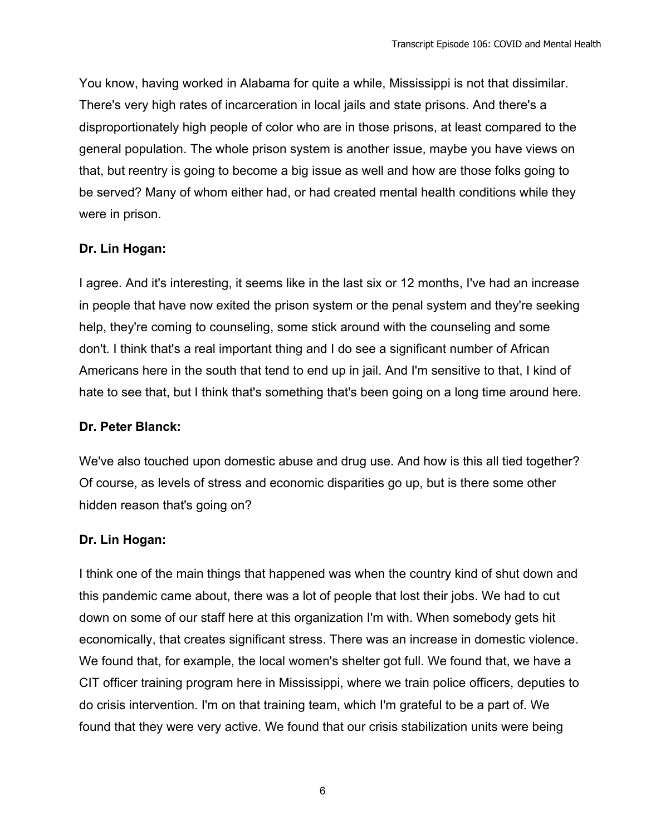You know, having worked in Alabama for quite a while, Mississippi is not that dissimilar. There's very high rates of incarceration in local jails and state prisons. And there's a disproportionately high people of color who are in those prisons, at least compared to the general population. The whole prison system is another issue, maybe you have views on that, but reentry is going to become a big issue as well and how are those folks going to be served? Many of whom either had, or had created mental health conditions while they were in prison.

#### **Dr. Lin Hogan:**

I agree. And it's interesting, it seems like in the last six or 12 months, I've had an increase in people that have now exited the prison system or the penal system and they're seeking help, they're coming to counseling, some stick around with the counseling and some don't. I think that's a real important thing and I do see a significant number of African Americans here in the south that tend to end up in jail. And I'm sensitive to that, I kind of hate to see that, but I think that's something that's been going on a long time around here.

#### **Dr. Peter Blanck:**

We've also touched upon domestic abuse and drug use. And how is this all tied together? Of course, as levels of stress and economic disparities go up, but is there some other hidden reason that's going on?

#### **Dr. Lin Hogan:**

I think one of the main things that happened was when the country kind of shut down and this pandemic came about, there was a lot of people that lost their jobs. We had to cut down on some of our staff here at this organization I'm with. When somebody gets hit economically, that creates significant stress. There was an increase in domestic violence. We found that, for example, the local women's shelter got full. We found that, we have a CIT officer training program here in Mississippi, where we train police officers, deputies to do crisis intervention. I'm on that training team, which I'm grateful to be a part of. We found that they were very active. We found that our crisis stabilization units were being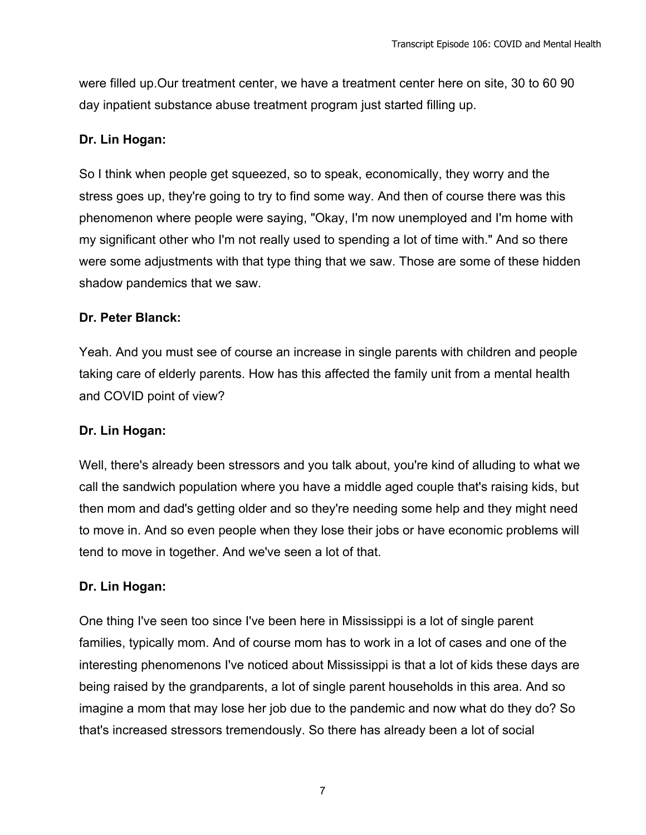were filled up.Our treatment center, we have a treatment center here on site, 30 to 60 90 day inpatient substance abuse treatment program just started filling up.

#### **Dr. Lin Hogan:**

So I think when people get squeezed, so to speak, economically, they worry and the stress goes up, they're going to try to find some way. And then of course there was this phenomenon where people were saying, "Okay, I'm now unemployed and I'm home with my significant other who I'm not really used to spending a lot of time with." And so there were some adjustments with that type thing that we saw. Those are some of these hidden shadow pandemics that we saw.

#### **Dr. Peter Blanck:**

Yeah. And you must see of course an increase in single parents with children and people taking care of elderly parents. How has this affected the family unit from a mental health and COVID point of view?

#### **Dr. Lin Hogan:**

Well, there's already been stressors and you talk about, you're kind of alluding to what we call the sandwich population where you have a middle aged couple that's raising kids, but then mom and dad's getting older and so they're needing some help and they might need to move in. And so even people when they lose their jobs or have economic problems will tend to move in together. And we've seen a lot of that.

#### **Dr. Lin Hogan:**

One thing I've seen too since I've been here in Mississippi is a lot of single parent families, typically mom. And of course mom has to work in a lot of cases and one of the interesting phenomenons I've noticed about Mississippi is that a lot of kids these days are being raised by the grandparents, a lot of single parent households in this area. And so imagine a mom that may lose her job due to the pandemic and now what do they do? So that's increased stressors tremendously. So there has already been a lot of social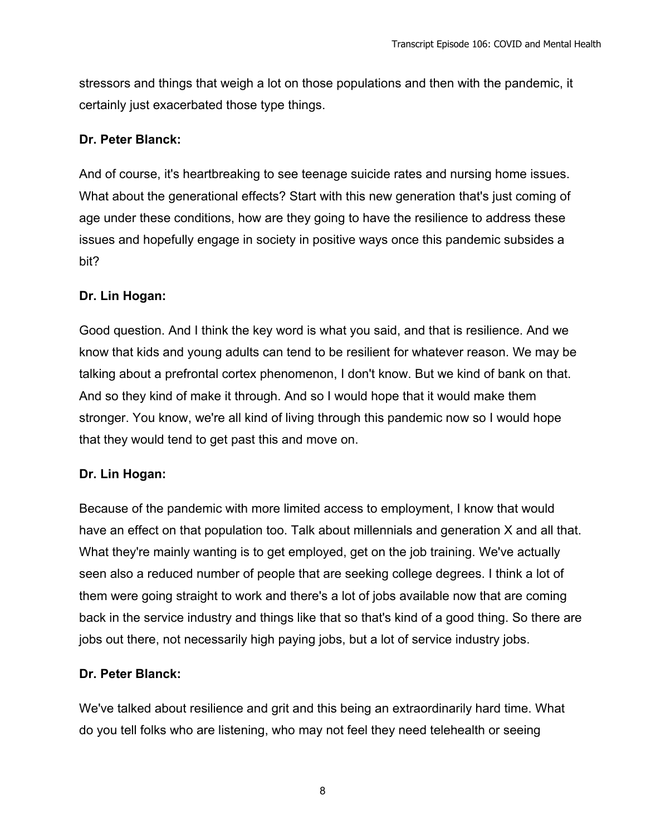stressors and things that weigh a lot on those populations and then with the pandemic, it certainly just exacerbated those type things.

#### **Dr. Peter Blanck:**

And of course, it's heartbreaking to see teenage suicide rates and nursing home issues. What about the generational effects? Start with this new generation that's just coming of age under these conditions, how are they going to have the resilience to address these issues and hopefully engage in society in positive ways once this pandemic subsides a bit?

#### **Dr. Lin Hogan:**

Good question. And I think the key word is what you said, and that is resilience. And we know that kids and young adults can tend to be resilient for whatever reason. We may be talking about a prefrontal cortex phenomenon, I don't know. But we kind of bank on that. And so they kind of make it through. And so I would hope that it would make them stronger. You know, we're all kind of living through this pandemic now so I would hope that they would tend to get past this and move on.

# **Dr. Lin Hogan:**

Because of the pandemic with more limited access to employment, I know that would have an effect on that population too. Talk about millennials and generation X and all that. What they're mainly wanting is to get employed, get on the job training. We've actually seen also a reduced number of people that are seeking college degrees. I think a lot of them were going straight to work and there's a lot of jobs available now that are coming back in the service industry and things like that so that's kind of a good thing. So there are jobs out there, not necessarily high paying jobs, but a lot of service industry jobs.

# **Dr. Peter Blanck:**

We've talked about resilience and grit and this being an extraordinarily hard time. What do you tell folks who are listening, who may not feel they need telehealth or seeing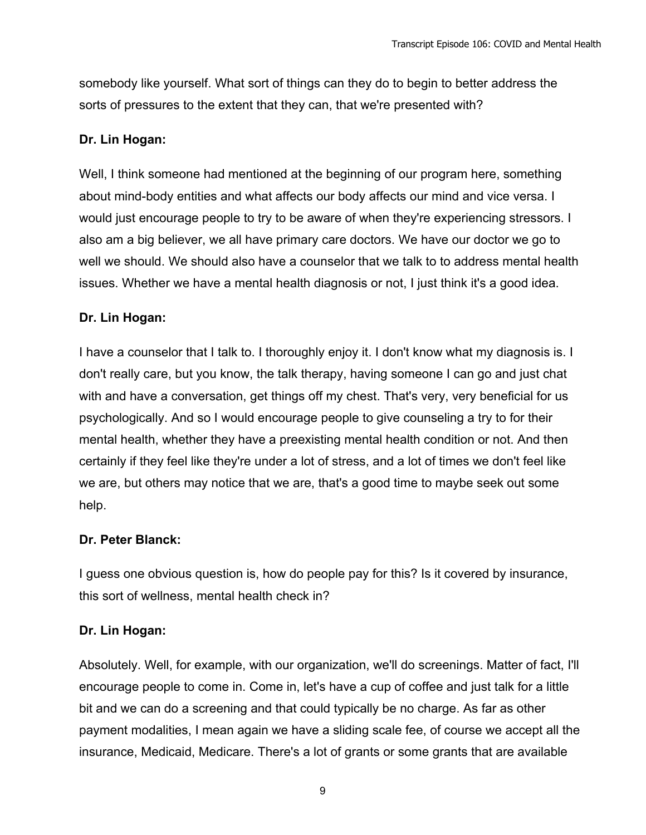somebody like yourself. What sort of things can they do to begin to better address the sorts of pressures to the extent that they can, that we're presented with?

#### **Dr. Lin Hogan:**

Well, I think someone had mentioned at the beginning of our program here, something about mind-body entities and what affects our body affects our mind and vice versa. I would just encourage people to try to be aware of when they're experiencing stressors. I also am a big believer, we all have primary care doctors. We have our doctor we go to well we should. We should also have a counselor that we talk to to address mental health issues. Whether we have a mental health diagnosis or not, I just think it's a good idea.

#### **Dr. Lin Hogan:**

I have a counselor that I talk to. I thoroughly enjoy it. I don't know what my diagnosis is. I don't really care, but you know, the talk therapy, having someone I can go and just chat with and have a conversation, get things off my chest. That's very, very beneficial for us psychologically. And so I would encourage people to give counseling a try to for their mental health, whether they have a preexisting mental health condition or not. And then certainly if they feel like they're under a lot of stress, and a lot of times we don't feel like we are, but others may notice that we are, that's a good time to maybe seek out some help.

# **Dr. Peter Blanck:**

I guess one obvious question is, how do people pay for this? Is it covered by insurance, this sort of wellness, mental health check in?

#### **Dr. Lin Hogan:**

Absolutely. Well, for example, with our organization, we'll do screenings. Matter of fact, I'll encourage people to come in. Come in, let's have a cup of coffee and just talk for a little bit and we can do a screening and that could typically be no charge. As far as other payment modalities, I mean again we have a sliding scale fee, of course we accept all the insurance, Medicaid, Medicare. There's a lot of grants or some grants that are available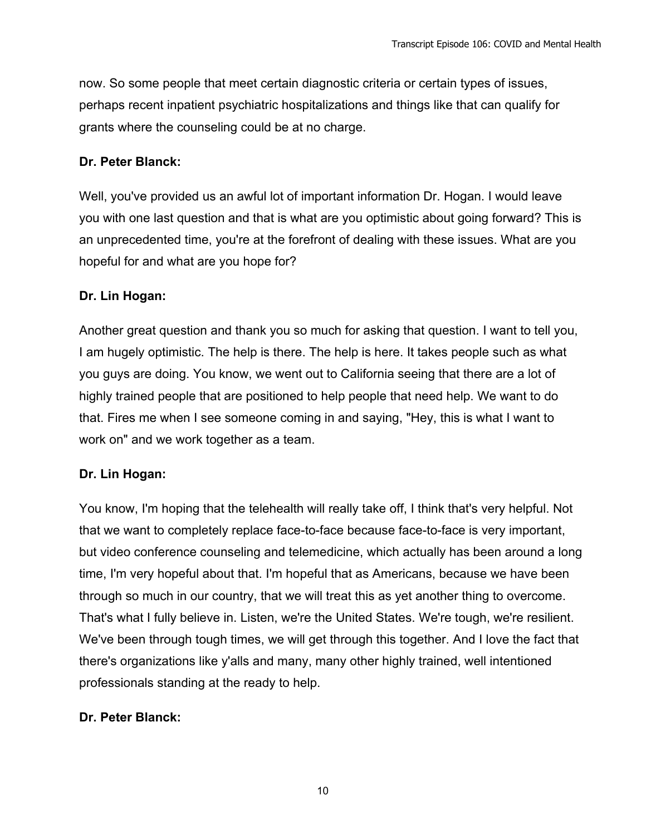now. So some people that meet certain diagnostic criteria or certain types of issues, perhaps recent inpatient psychiatric hospitalizations and things like that can qualify for grants where the counseling could be at no charge.

#### **Dr. Peter Blanck:**

Well, you've provided us an awful lot of important information Dr. Hogan. I would leave you with one last question and that is what are you optimistic about going forward? This is an unprecedented time, you're at the forefront of dealing with these issues. What are you hopeful for and what are you hope for?

#### **Dr. Lin Hogan:**

Another great question and thank you so much for asking that question. I want to tell you, I am hugely optimistic. The help is there. The help is here. It takes people such as what you guys are doing. You know, we went out to California seeing that there are a lot of highly trained people that are positioned to help people that need help. We want to do that. Fires me when I see someone coming in and saying, "Hey, this is what I want to work on" and we work together as a team.

#### **Dr. Lin Hogan:**

You know, I'm hoping that the telehealth will really take off, I think that's very helpful. Not that we want to completely replace face-to-face because face-to-face is very important, but video conference counseling and telemedicine, which actually has been around a long time, I'm very hopeful about that. I'm hopeful that as Americans, because we have been through so much in our country, that we will treat this as yet another thing to overcome. That's what I fully believe in. Listen, we're the United States. We're tough, we're resilient. We've been through tough times, we will get through this together. And I love the fact that there's organizations like y'alls and many, many other highly trained, well intentioned professionals standing at the ready to help.

# **Dr. Peter Blanck:**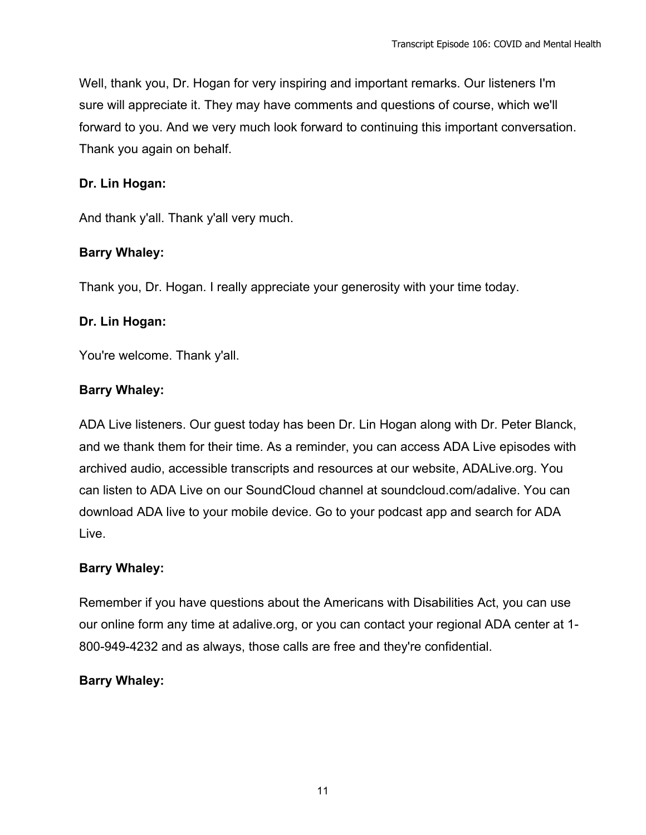Well, thank you, Dr. Hogan for very inspiring and important remarks. Our listeners I'm sure will appreciate it. They may have comments and questions of course, which we'll forward to you. And we very much look forward to continuing this important conversation. Thank you again on behalf.

#### **Dr. Lin Hogan:**

And thank y'all. Thank y'all very much.

#### **Barry Whaley:**

Thank you, Dr. Hogan. I really appreciate your generosity with your time today.

#### **Dr. Lin Hogan:**

You're welcome. Thank y'all.

#### **Barry Whaley:**

ADA Live listeners. Our guest today has been Dr. Lin Hogan along with Dr. Peter Blanck, and we thank them for their time. As a reminder, you can access ADA Live episodes with archived audio, accessible transcripts and resources at our website, ADALive.org. You can listen to ADA Live on our SoundCloud channel at soundcloud.com/adalive. You can download ADA live to your mobile device. Go to your podcast app and search for ADA Live.

#### **Barry Whaley:**

Remember if you have questions about the Americans with Disabilities Act, you can use our online form any time at adalive.org, or you can contact your regional ADA center at 1- 800-949-4232 and as always, those calls are free and they're confidential.

#### **Barry Whaley:**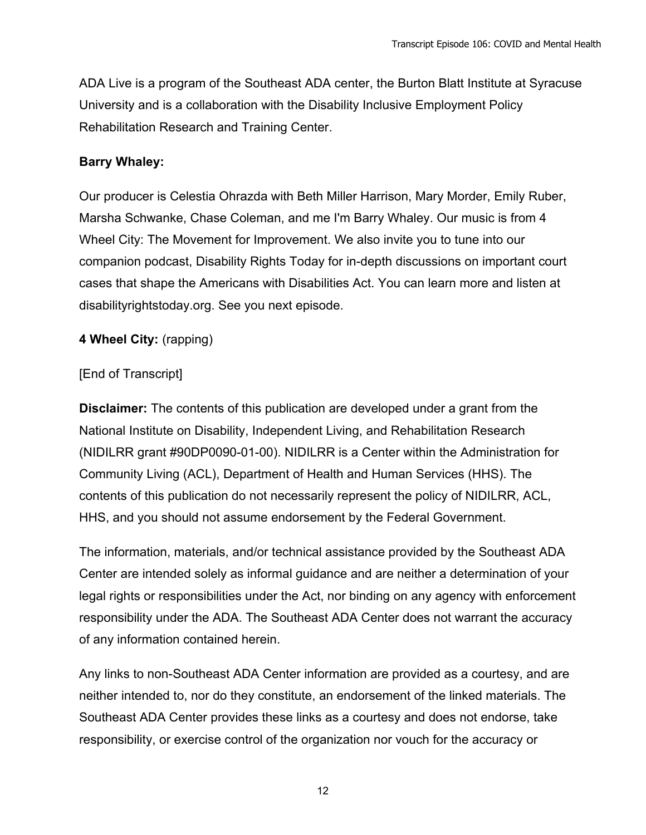ADA Live is a program of the Southeast ADA center, the Burton Blatt Institute at Syracuse University and is a collaboration with the Disability Inclusive Employment Policy Rehabilitation Research and Training Center.

#### **Barry Whaley:**

Our producer is Celestia Ohrazda with Beth Miller Harrison, Mary Morder, Emily Ruber, Marsha Schwanke, Chase Coleman, and me I'm Barry Whaley. Our music is from 4 Wheel City: The Movement for Improvement. We also invite you to tune into our companion podcast, Disability Rights Today for in-depth discussions on important court cases that shape the Americans with Disabilities Act. You can learn more and listen at disabilityrightstoday.org. See you next episode.

#### **4 Wheel City:** (rapping)

#### [End of Transcript]

**Disclaimer:** The contents of this publication are developed under a grant from the National Institute on Disability, Independent Living, and Rehabilitation Research (NIDILRR grant #90DP0090-01-00). NIDILRR is a Center within the Administration for Community Living (ACL), Department of Health and Human Services (HHS). The contents of this publication do not necessarily represent the policy of NIDILRR, ACL, HHS, and you should not assume endorsement by the Federal Government.

The information, materials, and/or technical assistance provided by the Southeast ADA Center are intended solely as informal guidance and are neither a determination of your legal rights or responsibilities under the Act, nor binding on any agency with enforcement responsibility under the ADA. The Southeast ADA Center does not warrant the accuracy of any information contained herein.

Any links to non-Southeast ADA Center information are provided as a courtesy, and are neither intended to, nor do they constitute, an endorsement of the linked materials. The Southeast ADA Center provides these links as a courtesy and does not endorse, take responsibility, or exercise control of the organization nor vouch for the accuracy or